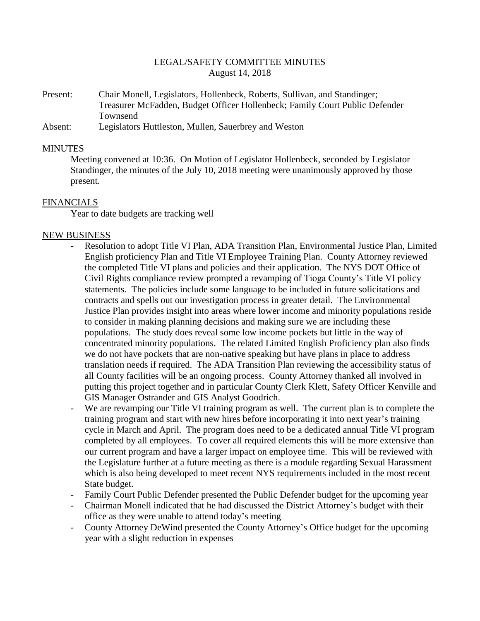## LEGAL/SAFETY COMMITTEE MINUTES August 14, 2018

- Present: Chair Monell, Legislators, Hollenbeck, Roberts, Sullivan, and Standinger; Treasurer McFadden, Budget Officer Hollenbeck; Family Court Public Defender Townsend
- Absent: Legislators Huttleston, Mullen, Sauerbrey and Weston

## MINUTES

Meeting convened at 10:36. On Motion of Legislator Hollenbeck, seconded by Legislator Standinger, the minutes of the July 10, 2018 meeting were unanimously approved by those present.

## FINANCIALS

Year to date budgets are tracking well

## NEW BUSINESS

- Resolution to adopt Title VI Plan, ADA Transition Plan, Environmental Justice Plan, Limited English proficiency Plan and Title VI Employee Training Plan. County Attorney reviewed the completed Title VI plans and policies and their application. The NYS DOT Office of Civil Rights compliance review prompted a revamping of Tioga County's Title VI policy statements. The policies include some language to be included in future solicitations and contracts and spells out our investigation process in greater detail. The Environmental Justice Plan provides insight into areas where lower income and minority populations reside to consider in making planning decisions and making sure we are including these populations. The study does reveal some low income pockets but little in the way of concentrated minority populations. The related Limited English Proficiency plan also finds we do not have pockets that are non-native speaking but have plans in place to address translation needs if required. The ADA Transition Plan reviewing the accessibility status of all County facilities will be an ongoing process. County Attorney thanked all involved in putting this project together and in particular County Clerk Klett, Safety Officer Kenville and GIS Manager Ostrander and GIS Analyst Goodrich.
- We are revamping our Title VI training program as well. The current plan is to complete the training program and start with new hires before incorporating it into next year's training cycle in March and April. The program does need to be a dedicated annual Title VI program completed by all employees. To cover all required elements this will be more extensive than our current program and have a larger impact on employee time. This will be reviewed with the Legislature further at a future meeting as there is a module regarding Sexual Harassment which is also being developed to meet recent NYS requirements included in the most recent State budget.
- Family Court Public Defender presented the Public Defender budget for the upcoming year
- Chairman Monell indicated that he had discussed the District Attorney's budget with their office as they were unable to attend today's meeting
- County Attorney DeWind presented the County Attorney's Office budget for the upcoming year with a slight reduction in expenses